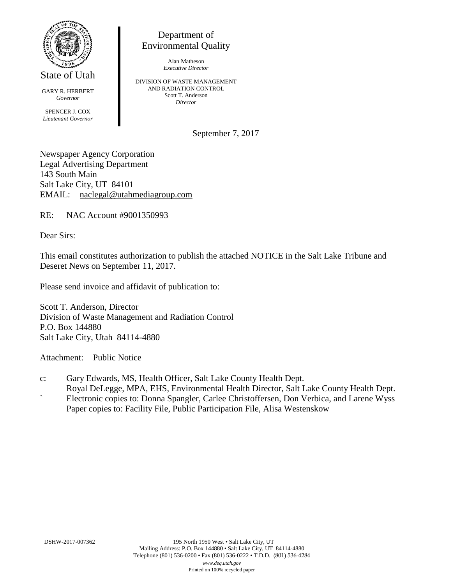

State of Utah

GARY R. HERBERT *Governor* SPENCER J. COX *Lieutenant Governor*

Department of Environmental Quality

> Alan Matheson *Executive Director*

DIVISION OF WASTE MANAGEMENT AND RADIATION CONTROL Scott T. Anderson *Director*

September 7, 2017

Newspaper Agency Corporation Legal Advertising Department 143 South Main Salt Lake City, UT 84101 EMAIL: naclegal@utahmediagroup.com

RE: NAC Account #9001350993

Dear Sirs:

This email constitutes authorization to publish the attached NOTICE in the Salt Lake Tribune and Deseret News on September 11, 2017.

Please send invoice and affidavit of publication to:

Scott T. Anderson, Director Division of Waste Management and Radiation Control P.O. Box 144880 Salt Lake City, Utah 84114-4880

Attachment: Public Notice

- c: Gary Edwards, MS, Health Officer, Salt Lake County Health Dept.
- Royal DeLegge, MPA, EHS, Environmental Health Director, Salt Lake County Health Dept. ` Electronic copies to: Donna Spangler, Carlee Christoffersen, Don Verbica, and Larene Wyss Paper copies to: Facility File, Public Participation File, Alisa Westenskow